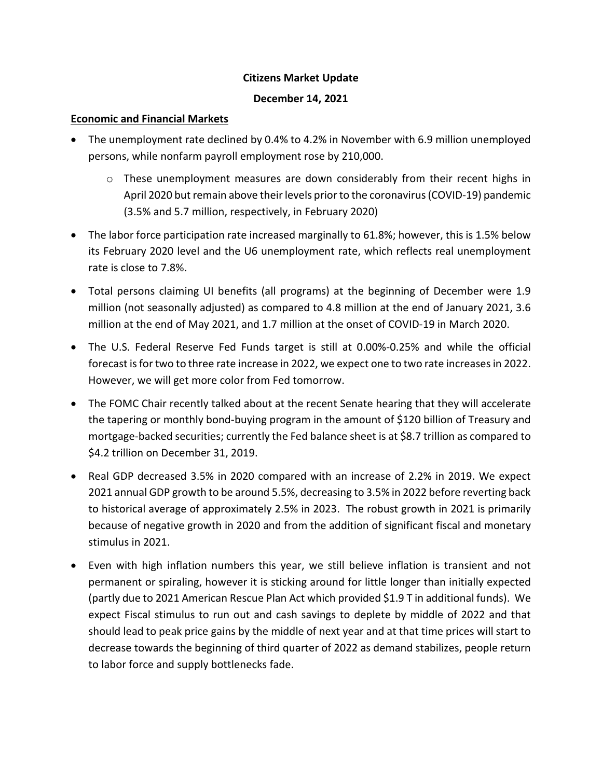# **Citizens Market Update**

#### **December 14, 2021**

#### **Economic and Financial Markets**

- The unemployment rate declined by 0.4% to 4.2% in November with 6.9 million unemployed persons, while nonfarm payroll employment rose by 210,000.
	- $\circ$  These unemployment measures are down considerably from their recent highs in April 2020 but remain above their levels prior to the coronavirus (COVID-19) pandemic (3.5% and 5.7 million, respectively, in February 2020)
- The labor force participation rate increased marginally to 61.8%; however, this is 1.5% below its February 2020 level and the U6 unemployment rate, which reflects real unemployment rate is close to 7.8%.
- Total persons claiming UI benefits (all programs) at the beginning of December were 1.9 million (not seasonally adjusted) as compared to 4.8 million at the end of January 2021, 3.6 million at the end of May 2021, and 1.7 million at the onset of COVID-19 in March 2020.
- The U.S. Federal Reserve Fed Funds target is still at 0.00%-0.25% and while the official forecast is for two to three rate increase in 2022, we expect one to two rate increases in 2022. However, we will get more color from Fed tomorrow.
- The FOMC Chair recently talked about at the recent Senate hearing that they will accelerate the tapering or monthly bond-buying program in the amount of \$120 billion of Treasury and mortgage-backed securities; currently the Fed balance sheet is at \$8.7 trillion as compared to \$4.2 trillion on December 31, 2019.
- Real GDP decreased 3.5% in 2020 compared with an increase of 2.2% in 2019. We expect 2021 annual GDP growth to be around 5.5%, decreasing to 3.5% in 2022 before reverting back to historical average of approximately 2.5% in 2023. The robust growth in 2021 is primarily because of negative growth in 2020 and from the addition of significant fiscal and monetary stimulus in 2021.
- Even with high inflation numbers this year, we still believe inflation is transient and not permanent or spiraling, however it is sticking around for little longer than initially expected (partly due to 2021 American Rescue Plan Act which provided \$1.9 T in additional funds). We expect Fiscal stimulus to run out and cash savings to deplete by middle of 2022 and that should lead to peak price gains by the middle of next year and at that time prices will start to decrease towards the beginning of third quarter of 2022 as demand stabilizes, people return to labor force and supply bottlenecks fade.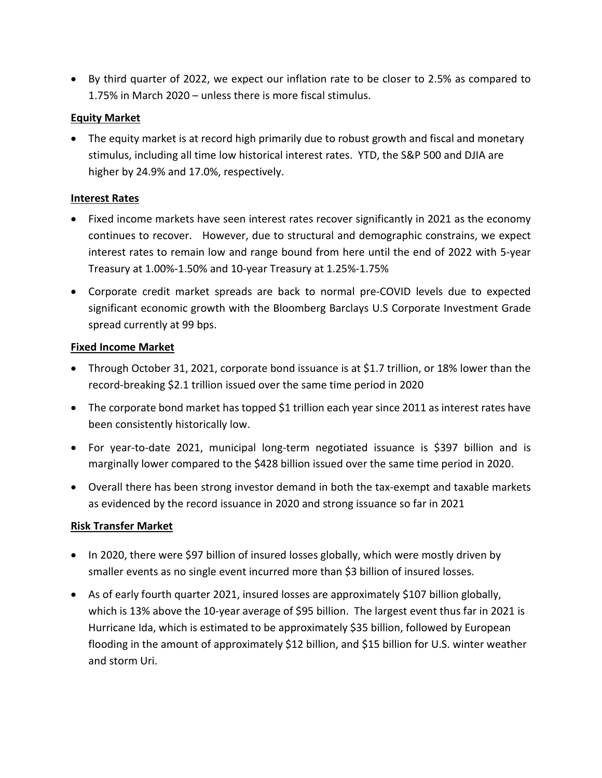• By third quarter of 2022, we expect our inflation rate to be closer to 2.5% as compared to 1.75% in March 2020 – unless there is more fiscal stimulus.

# **Equity Market**

• The equity market is at record high primarily due to robust growth and fiscal and monetary stimulus, including all time low historical interest rates. YTD, the S&P 500 and DJIA are higher by 24.9% and 17.0%, respectively.

# **Interest Rates**

- Fixed income markets have seen interest rates recover significantly in 2021 as the economy continues to recover. However, due to structural and demographic constrains, we expect interest rates to remain low and range bound from here until the end of 2022 with 5-year Treasury at 1.00%-1.50% and 10-year Treasury at 1.25%-1.75%
- Corporate credit market spreads are back to normal pre-COVID levels due to expected significant economic growth with the Bloomberg Barclays U.S Corporate Investment Grade spread currently at 99 bps.

# **Fixed Income Market**

- Through October 31, 2021, corporate bond issuance is at \$1.7 trillion, or 18% lower than the record-breaking \$2.1 trillion issued over the same time period in 2020
- The corporate bond market has topped \$1 trillion each year since 2011 as interest rates have been consistently historically low.
- For year-to-date 2021, municipal long-term negotiated issuance is \$397 billion and is marginally lower compared to the \$428 billion issued over the same time period in 2020.
- Overall there has been strong investor demand in both the tax-exempt and taxable markets as evidenced by the record issuance in 2020 and strong issuance so far in 2021

# **Risk Transfer Market**

- In 2020, there were \$97 billion of insured losses globally, which were mostly driven by smaller events as no single event incurred more than \$3 billion of insured losses.
- As of early fourth quarter 2021, insured losses are approximately \$107 billion globally, which is 13% above the 10-year average of \$95 billion. The largest event thus far in 2021 is Hurricane Ida, which is estimated to be approximately \$35 billion, followed by European flooding in the amount of approximately \$12 billion, and \$15 billion for U.S. winter weather and storm Uri.